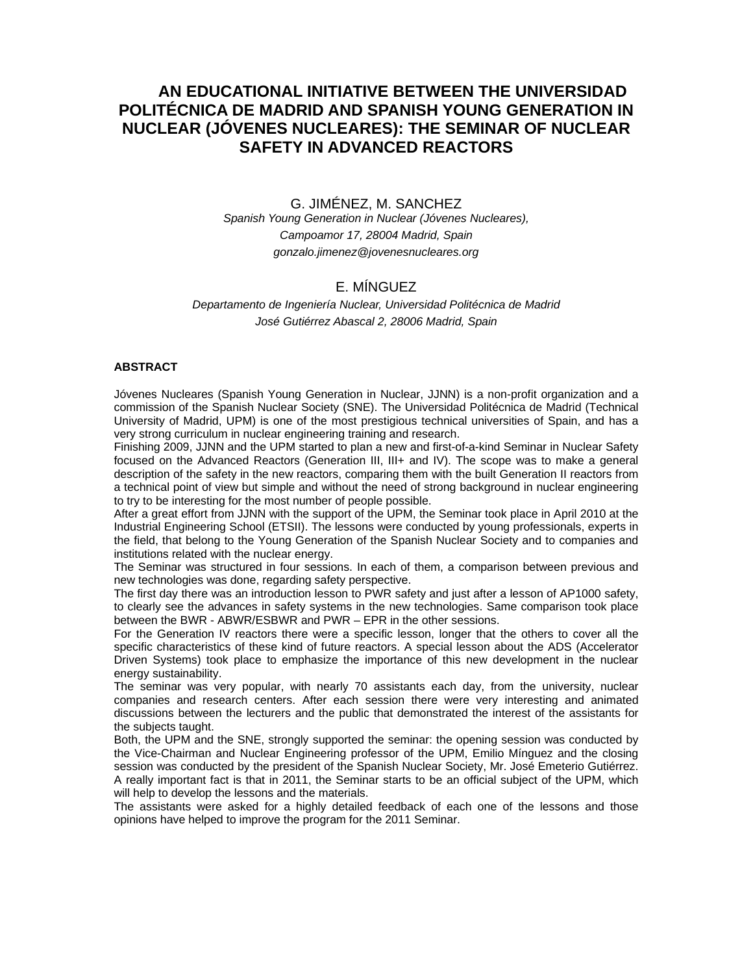# **AN EDUCATIONAL INITIATIVE BETWEEN THE UNIVERSIDAD POLITÉCNICA DE MADRID AND SPANISH YOUNG GENERATION IN NUCLEAR (JÓVENES NUCLEARES): THE SEMINAR OF NUCLEAR SAFETY IN ADVANCED REACTORS**

G. JIMÉNEZ, M. SANCHEZ *Spanish Young Generation in Nuclear (Jóvenes Nucleares), Campoamor 17, 28004 Madrid, Spain gonzalo.jimenez@jovenesnucleares.org* 

### E. MÍNGUEZ

*Departamento de Ingeniería Nuclear, Universidad Politécnica de Madrid José Gutiérrez Abascal 2, 28006 Madrid, Spain* 

#### **ABSTRACT**

Jóvenes Nucleares (Spanish Young Generation in Nuclear, JJNN) is a non-profit organization and a commission of the Spanish Nuclear Society (SNE). The Universidad Politécnica de Madrid (Technical University of Madrid, UPM) is one of the most prestigious technical universities of Spain, and has a very strong curriculum in nuclear engineering training and research.

Finishing 2009, JJNN and the UPM started to plan a new and first-of-a-kind Seminar in Nuclear Safety focused on the Advanced Reactors (Generation III, III+ and IV). The scope was to make a general description of the safety in the new reactors, comparing them with the built Generation II reactors from a technical point of view but simple and without the need of strong background in nuclear engineering to try to be interesting for the most number of people possible.

After a great effort from JJNN with the support of the UPM, the Seminar took place in April 2010 at the Industrial Engineering School (ETSII). The lessons were conducted by young professionals, experts in the field, that belong to the Young Generation of the Spanish Nuclear Society and to companies and institutions related with the nuclear energy.

The Seminar was structured in four sessions. In each of them, a comparison between previous and new technologies was done, regarding safety perspective.

The first day there was an introduction lesson to PWR safety and just after a lesson of AP1000 safety, to clearly see the advances in safety systems in the new technologies. Same comparison took place between the BWR - ABWR/ESBWR and PWR – EPR in the other sessions.

For the Generation IV reactors there were a specific lesson, longer that the others to cover all the specific characteristics of these kind of future reactors. A special lesson about the ADS (Accelerator Driven Systems) took place to emphasize the importance of this new development in the nuclear energy sustainability.

The seminar was very popular, with nearly 70 assistants each day, from the university, nuclear companies and research centers. After each session there were very interesting and animated discussions between the lecturers and the public that demonstrated the interest of the assistants for the subjects taught.

Both, the UPM and the SNE, strongly supported the seminar: the opening session was conducted by the Vice-Chairman and Nuclear Engineering professor of the UPM, Emilio Mínguez and the closing session was conducted by the president of the Spanish Nuclear Society, Mr. José Emeterio Gutiérrez. A really important fact is that in 2011, the Seminar starts to be an official subject of the UPM, which will help to develop the lessons and the materials.

The assistants were asked for a highly detailed feedback of each one of the lessons and those opinions have helped to improve the program for the 2011 Seminar.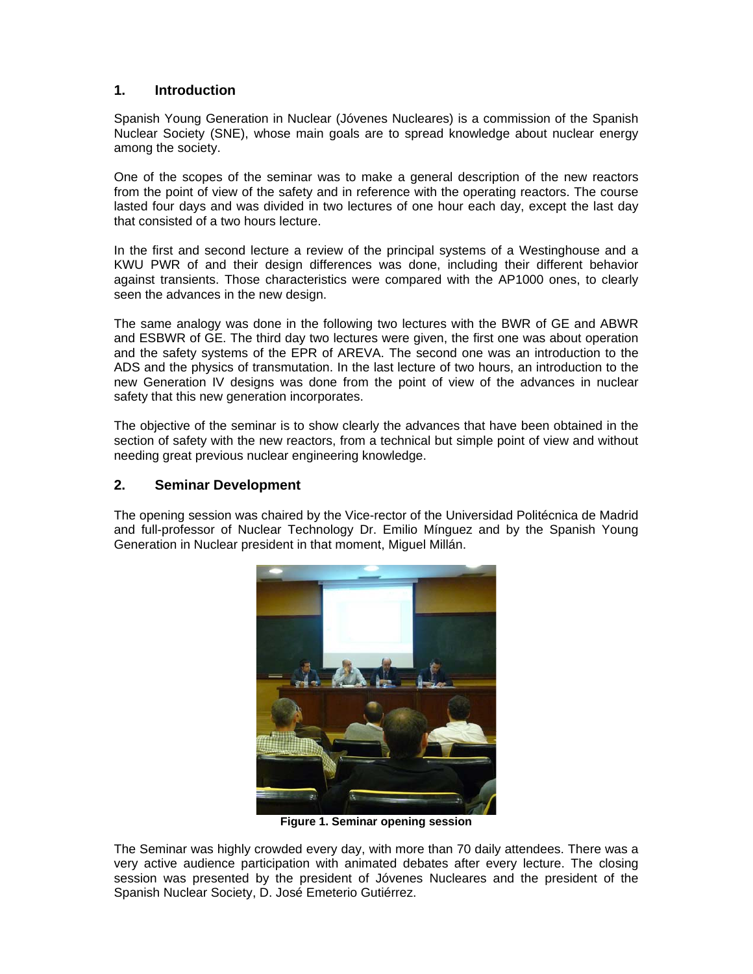# **1. Introduction**

Spanish Young Generation in Nuclear (Jóvenes Nucleares) is a commission of the Spanish Nuclear Society (SNE), whose main goals are to spread knowledge about nuclear energy among the society.

One of the scopes of the seminar was to make a general description of the new reactors from the point of view of the safety and in reference with the operating reactors. The course lasted four days and was divided in two lectures of one hour each day, except the last day that consisted of a two hours lecture.

In the first and second lecture a review of the principal systems of a Westinghouse and a KWU PWR of and their design differences was done, including their different behavior against transients. Those characteristics were compared with the AP1000 ones, to clearly seen the advances in the new design.

The same analogy was done in the following two lectures with the BWR of GE and ABWR and ESBWR of GE. The third day two lectures were given, the first one was about operation and the safety systems of the EPR of AREVA. The second one was an introduction to the ADS and the physics of transmutation. In the last lecture of two hours, an introduction to the new Generation IV designs was done from the point of view of the advances in nuclear safety that this new generation incorporates.

The objective of the seminar is to show clearly the advances that have been obtained in the section of safety with the new reactors, from a technical but simple point of view and without needing great previous nuclear engineering knowledge.

# **2. Seminar Development**

The opening session was chaired by the Vice-rector of the Universidad Politécnica de Madrid and full-professor of Nuclear Technology Dr. Emilio Mínguez and by the Spanish Young Generation in Nuclear president in that moment, Miguel Millán.



**Figure 1. Seminar opening session** 

The Seminar was highly crowded every day, with more than 70 daily attendees. There was a very active audience participation with animated debates after every lecture. The closing session was presented by the president of Jóvenes Nucleares and the president of the Spanish Nuclear Society, D. José Emeterio Gutiérrez.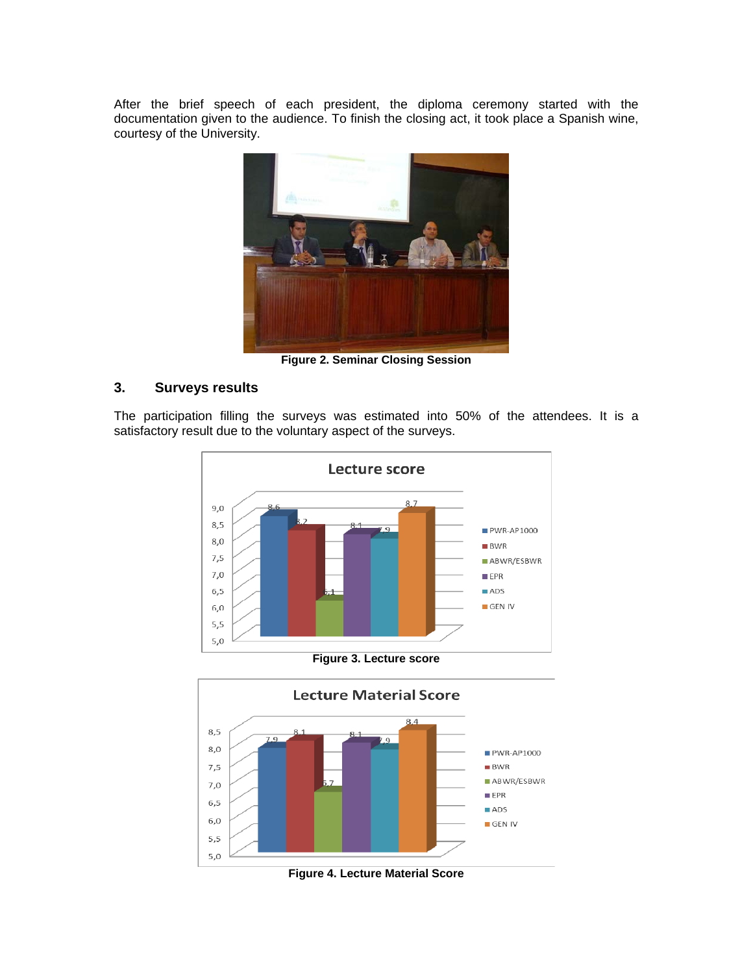After the brief speech of each president, the diploma ceremony started with the documentation given to the audience. To finish the closing act, it took place a Spanish wine, courtesy of the University.



**Figure 2. Seminar Closing Session** 

# **3. Surveys results**

The participation filling the surveys was estimated into 50% of the attendees. It is a satisfactory result due to the voluntary aspect of the surveys.



**Figure 3. Lecture score** 



**Figure 4. Lecture Material Score**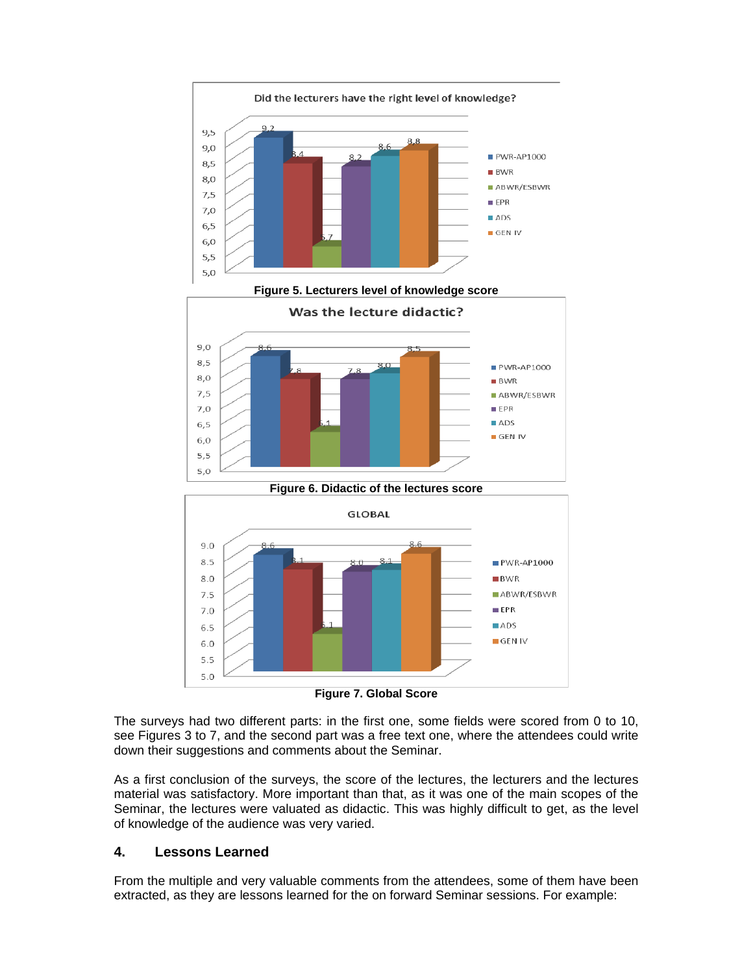



The surveys had two different parts: in the first one, some fields were scored from 0 to 10, see Figures 3 to 7, and the second part was a free text one, where the attendees could write down their suggestions and comments about the Seminar.

As a first conclusion of the surveys, the score of the lectures, the lecturers and the lectures material was satisfactory. More important than that, as it was one of the main scopes of the Seminar, the lectures were valuated as didactic. This was highly difficult to get, as the level of knowledge of the audience was very varied.

### **4. Lessons Learned**

From the multiple and very valuable comments from the attendees, some of them have been extracted, as they are lessons learned for the on forward Seminar sessions. For example: